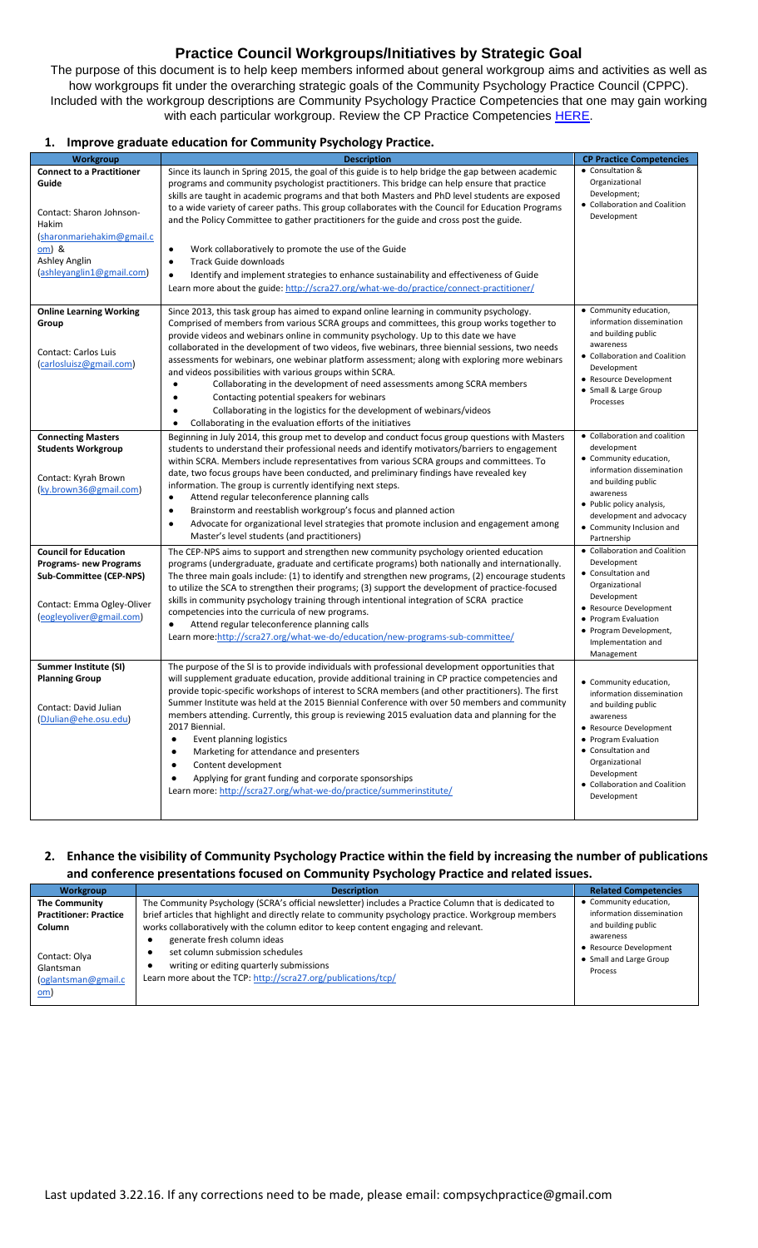# **Practice Council Workgroups/Initiatives by Strategic Goal**

The purpose of this document is to help keep members informed about general workgroup aims and activities as well as how workgroups fit under the overarching strategic goals of the Community Psychology Practice Council (CPPC). Included with the workgroup descriptions are Community Psychology Practice Competencies that one may gain working with each particular workgroup. Review the CP Practice Competencies [HERE.](http://scra27.org/what-we-do/practice/18-competencies-community-psychology-practice/)

#### **1. Improve graduate education for Community Psychology Practice.**

| Workgroup                          | <b>Description</b>                                                                                                                                                                                    | <b>CP Practice Competencies</b>          |
|------------------------------------|-------------------------------------------------------------------------------------------------------------------------------------------------------------------------------------------------------|------------------------------------------|
| <b>Connect to a Practitioner</b>   | Since its launch in Spring 2015, the goal of this guide is to help bridge the gap between academic                                                                                                    | • Consultation &                         |
| Guide                              | programs and community psychologist practitioners. This bridge can help ensure that practice                                                                                                          | Organizational                           |
|                                    | skills are taught in academic programs and that both Masters and PhD level students are exposed                                                                                                       | Development;                             |
| Contact: Sharon Johnson-           | to a wide variety of career paths. This group collaborates with the Council for Education Programs                                                                                                    | • Collaboration and Coalition            |
| Hakim                              | and the Policy Committee to gather practitioners for the guide and cross post the guide.                                                                                                              | Development                              |
|                                    |                                                                                                                                                                                                       |                                          |
| (sharonmariehakim@gmail.c<br>om) & |                                                                                                                                                                                                       |                                          |
| Ashley Anglin                      | Work collaboratively to promote the use of the Guide<br>$\bullet$                                                                                                                                     |                                          |
| (ashleyanglin1@gmail.com)          | <b>Track Guide downloads</b><br>$\bullet$                                                                                                                                                             |                                          |
|                                    | Identify and implement strategies to enhance sustainability and effectiveness of Guide<br>$\bullet$                                                                                                   |                                          |
|                                    | Learn more about the guide: http://scra27.org/what-we-do/practice/connect-practitioner/                                                                                                               |                                          |
|                                    |                                                                                                                                                                                                       |                                          |
| <b>Online Learning Working</b>     | Since 2013, this task group has aimed to expand online learning in community psychology.                                                                                                              | • Community education,                   |
| Group                              | Comprised of members from various SCRA groups and committees, this group works together to                                                                                                            | information dissemination                |
|                                    | provide videos and webinars online in community psychology. Up to this date we have                                                                                                                   | and building public<br>awareness         |
| Contact: Carlos Luis               | collaborated in the development of two videos, five webinars, three biennial sessions, two needs                                                                                                      | • Collaboration and Coalition            |
| (carlosluisz@gmail.com)            | assessments for webinars, one webinar platform assessment; along with exploring more webinars                                                                                                         | Development                              |
|                                    | and videos possibilities with various groups within SCRA.                                                                                                                                             | • Resource Development                   |
|                                    | Collaborating in the development of need assessments among SCRA members                                                                                                                               | • Small & Large Group                    |
|                                    | Contacting potential speakers for webinars                                                                                                                                                            | Processes                                |
|                                    | Collaborating in the logistics for the development of webinars/videos                                                                                                                                 |                                          |
|                                    | Collaborating in the evaluation efforts of the initiatives                                                                                                                                            |                                          |
| <b>Connecting Masters</b>          | Beginning in July 2014, this group met to develop and conduct focus group questions with Masters                                                                                                      | • Collaboration and coalition            |
| <b>Students Workgroup</b>          | students to understand their professional needs and identify motivators/barriers to engagement                                                                                                        | development                              |
|                                    | within SCRA. Members include representatives from various SCRA groups and committees. To                                                                                                              | • Community education,                   |
| Contact: Kyrah Brown               | date, two focus groups have been conducted, and preliminary findings have revealed key                                                                                                                | information dissemination                |
| (ky.brown36@gmail.com)             | information. The group is currently identifying next steps.                                                                                                                                           | and building public                      |
|                                    | Attend regular teleconference planning calls<br>$\bullet$                                                                                                                                             | awareness                                |
|                                    | Brainstorm and reestablish workgroup's focus and planned action<br>٠                                                                                                                                  | • Public policy analysis,                |
|                                    | Advocate for organizational level strategies that promote inclusion and engagement among<br>$\bullet$                                                                                                 | development and advocacy                 |
|                                    | Master's level students (and practitioners)                                                                                                                                                           | • Community Inclusion and<br>Partnership |
| <b>Council for Education</b>       | The CEP-NPS aims to support and strengthen new community psychology oriented education                                                                                                                | • Collaboration and Coalition            |
|                                    |                                                                                                                                                                                                       | Development                              |
| <b>Programs-new Programs</b>       | programs (undergraduate, graduate and certificate programs) both nationally and internationally.                                                                                                      | • Consultation and                       |
| Sub-Committee (CEP-NPS)            | The three main goals include: (1) to identify and strengthen new programs, (2) encourage students<br>to utilize the SCA to strengthen their programs; (3) support the development of practice-focused | Organizational                           |
|                                    |                                                                                                                                                                                                       | Development                              |
| Contact: Emma Ogley-Oliver         | skills in community psychology training through intentional integration of SCRA practice                                                                                                              | • Resource Development                   |
| (eogleyoliver@gmail.com)           | competencies into the curricula of new programs.                                                                                                                                                      | • Program Evaluation                     |
|                                    | Attend regular teleconference planning calls<br>٠                                                                                                                                                     | • Program Development,                   |
|                                    | Learn more:http://scra27.org/what-we-do/education/new-programs-sub-committee/                                                                                                                         | Implementation and                       |
|                                    |                                                                                                                                                                                                       | Management                               |
| Summer Institute (SI)              | The purpose of the SI is to provide individuals with professional development opportunities that                                                                                                      |                                          |
| <b>Planning Group</b>              | will supplement graduate education, provide additional training in CP practice competencies and                                                                                                       | • Community education,                   |
|                                    | provide topic-specific workshops of interest to SCRA members (and other practitioners). The first                                                                                                     | information dissemination                |
| Contact: David Julian              | Summer Institute was held at the 2015 Biennial Conference with over 50 members and community                                                                                                          | and building public                      |
| (DJulian@ehe.osu.edu)              | members attending. Currently, this group is reviewing 2015 evaluation data and planning for the                                                                                                       | awareness                                |
|                                    | 2017 Biennial.                                                                                                                                                                                        | • Resource Development                   |
|                                    | Event planning logistics<br>$\bullet$                                                                                                                                                                 | • Program Evaluation                     |
|                                    | Marketing for attendance and presenters<br>$\bullet$                                                                                                                                                  | • Consultation and                       |
|                                    | Content development<br>$\bullet$                                                                                                                                                                      | Organizational                           |
|                                    | Applying for grant funding and corporate sponsorships                                                                                                                                                 | Development                              |
|                                    | Learn more: http://scra27.org/what-we-do/practice/summerinstitute/                                                                                                                                    | • Collaboration and Coalition            |
|                                    |                                                                                                                                                                                                       | Development                              |
|                                    |                                                                                                                                                                                                       |                                          |

### **2. Enhance the visibility of Community Psychology Practice within the field by increasing the number of publications and conference presentations focused on Community Psychology Practice and related issues.**

| Workgroup                                                       | <b>Description</b>                                                                                                                                                                                                                                                                                                                   | <b>Related Competencies</b>                                                             |
|-----------------------------------------------------------------|--------------------------------------------------------------------------------------------------------------------------------------------------------------------------------------------------------------------------------------------------------------------------------------------------------------------------------------|-----------------------------------------------------------------------------------------|
| <b>The Community</b><br><b>Practitioner: Practice</b><br>Column | The Community Psychology (SCRA's official newsletter) includes a Practice Column that is dedicated to<br>brief articles that highlight and directly relate to community psychology practice. Workgroup members<br>works collaboratively with the column editor to keep content engaging and relevant.<br>generate fresh column ideas | • Community education,<br>information dissemination<br>and building public<br>awareness |
| Contact: Olya<br>Glantsman<br>(oglantsman@gmail.c<br>om)        | set column submission schedules<br>writing or editing quarterly submissions<br>Learn more about the TCP: http://scra27.org/publications/tcp/                                                                                                                                                                                         | • Resource Development<br>• Small and Large Group<br>Process                            |